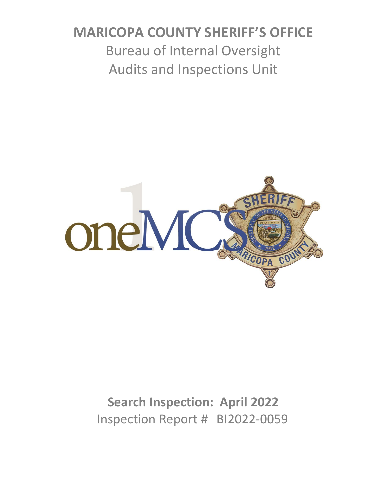# **MARICOPA COUNTY SHERIFF'S OFFICE** Bureau of Internal Oversight Audits and Inspections Unit



# **Search Inspection: April 2022** Inspection Report # BI2022-0059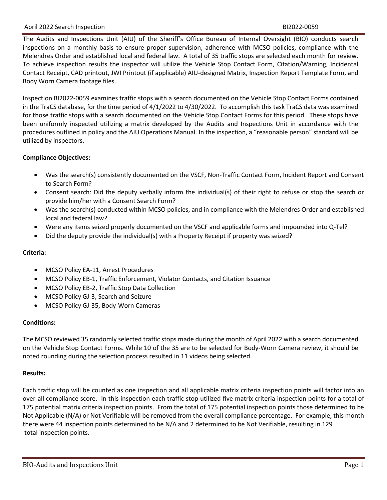#### April 2022 Search Inspection **BI2022-0059**

The Audits and Inspections Unit (AIU) of the Sheriff's Office Bureau of Internal Oversight (BIO) conducts search inspections on a monthly basis to ensure proper supervision, adherence with MCSO policies, compliance with the Melendres Order and established local and federal law. A total of 35 traffic stops are selected each month for review. To achieve inspection results the inspector will utilize the Vehicle Stop Contact Form, Citation/Warning, Incidental Contact Receipt, CAD printout, JWI Printout (if applicable) AIU-designed Matrix, Inspection Report Template Form, and Body Worn Camera footage files.

Inspection BI2022-0059 examines traffic stops with a search documented on the Vehicle Stop Contact Forms contained in the TraCS database, for the time period of 4/1/2022 to 4/30/2022. To accomplish this task TraCS data was examined for those traffic stops with a search documented on the Vehicle Stop Contact Forms for this period. These stops have been uniformly inspected utilizing a matrix developed by the Audits and Inspections Unit in accordance with the procedures outlined in policy and the AIU Operations Manual. In the inspection, a "reasonable person" standard will be utilized by inspectors.

#### **Compliance Objectives:**

- Was the search(s) consistently documented on the VSCF, Non-Traffic Contact Form, Incident Report and Consent to Search Form?
- Consent search: Did the deputy verbally inform the individual(s) of their right to refuse or stop the search or provide him/her with a Consent Search Form?
- Was the search(s) conducted within MCSO policies, and in compliance with the Melendres Order and established local and federal law?
- Were any items seized properly documented on the VSCF and applicable forms and impounded into Q-Tel?
- Did the deputy provide the individual(s) with a Property Receipt if property was seized?

#### **Criteria:**

- MCSO Policy EA-11, Arrest Procedures
- MCSO Policy EB-1, Traffic Enforcement, Violator Contacts, and Citation Issuance
- MCSO Policy EB-2, Traffic Stop Data Collection
- MCSO Policy GJ-3, Search and Seizure
- MCSO Policy GJ-35, Body-Worn Cameras

#### **Conditions:**

The MCSO reviewed 35 randomly selected traffic stops made during the month of April 2022 with a search documented on the Vehicle Stop Contact Forms. While 10 of the 35 are to be selected for Body-Worn Camera review, it should be noted rounding during the selection process resulted in 11 videos being selected.

#### **Results:**

Each traffic stop will be counted as one inspection and all applicable matrix criteria inspection points will factor into an over-all compliance score. In this inspection each traffic stop utilized five matrix criteria inspection points for a total of 175 potential matrix criteria inspection points. From the total of 175 potential inspection points those determined to be Not Applicable (N/A) or Not Verifiable will be removed from the overall compliance percentage. For example, this month there were 44 inspection points determined to be N/A and 2 determined to be Not Verifiable, resulting in 129 total inspection points.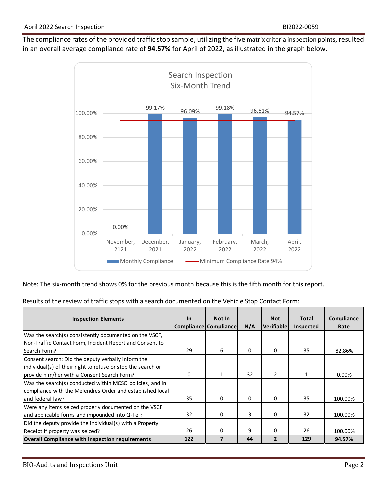The compliance rates of the provided traffic stop sample, utilizing the five matrix criteria inspection points, resulted in an overall average compliance rate of **94.57%** for April of 2022, as illustrated in the graph below.



Note: The six-month trend shows 0% for the previous month because this is the fifth month for this report.

|  | Results of the review of traffic stops with a search documented on the Vehicle Stop Contact Form: |  |
|--|---------------------------------------------------------------------------------------------------|--|
|  |                                                                                                   |  |

| <b>Inspection Elements</b>                                                                                         | $\ln$ | Not In<br><b>Compliance Compliance</b> | N/A      | <b>Not</b><br>Verifiablel | <b>Total</b><br>Inspected | Compliance<br>Rate |
|--------------------------------------------------------------------------------------------------------------------|-------|----------------------------------------|----------|---------------------------|---------------------------|--------------------|
| Was the search(s) consistently documented on the VSCF,                                                             |       |                                        |          |                           |                           |                    |
| Non-Traffic Contact Form, Incident Report and Consent to<br>Search Form?                                           | 29    | 6                                      | $\Omega$ | 0                         | 35                        | 82.86%             |
| Consent search: Did the deputy verbally inform the<br>individual(s) of their right to refuse or stop the search or |       |                                        |          |                           |                           |                    |
| provide him/her with a Consent Search Form?<br>Was the search(s) conducted within MCSO policies, and in            | 0     | $\mathbf{1}$                           | 32       | $\overline{2}$            | 1                         | 0.00%              |
| compliance with the Melendres Order and established local<br>land federal law?                                     | 35    | 0                                      | 0        | 0                         | 35                        | 100.00%            |
| Were any items seized properly documented on the VSCF<br>and applicable forms and impounded into Q-Tel?            | 32    | 0                                      | 3        | 0                         | 32                        | 100.00%            |
| Did the deputy provide the individual(s) with a Property<br>Receipt if property was seized?                        | 26    | 0                                      | 9        | 0                         | 26                        | 100.00%            |
| Overall Compliance with inspection requirements                                                                    | 122   | 7                                      | 44       | $\overline{2}$            | 129                       | 94.57%             |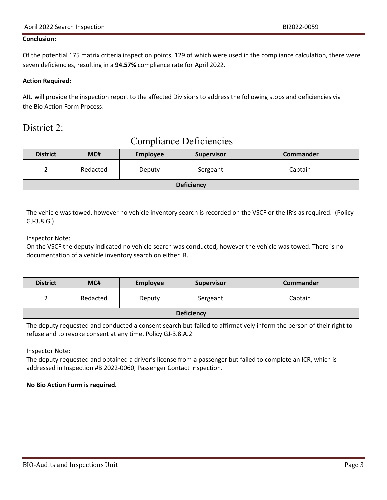#### **Conclusion:**

Of the potential 175 matrix criteria inspection points, 129 of which were used in the compliance calculation, there were seven deficiencies, resulting in a **94.57%** compliance rate for April 2022.

#### **Action Required:**

AIU will provide the inspection report to the affected Divisions to address the following stops and deficiencies via the Bio Action Form Process:

#### District 2:

| <b>District</b>                                                                                                                                                                                                                                                                                                                                                                                      | MC#                             | <b>Employee</b> | <b>Supervisor</b> | Commander        |  |
|------------------------------------------------------------------------------------------------------------------------------------------------------------------------------------------------------------------------------------------------------------------------------------------------------------------------------------------------------------------------------------------------------|---------------------------------|-----------------|-------------------|------------------|--|
| 2                                                                                                                                                                                                                                                                                                                                                                                                    | Redacted                        | Deputy          | Sergeant          | Captain          |  |
|                                                                                                                                                                                                                                                                                                                                                                                                      |                                 |                 | <b>Deficiency</b> |                  |  |
| The vehicle was towed, however no vehicle inventory search is recorded on the VSCF or the IR's as required. (Policy<br>$GJ-3.8.G.$<br><b>Inspector Note:</b><br>On the VSCF the deputy indicated no vehicle search was conducted, however the vehicle was towed. There is no<br>documentation of a vehicle inventory search on either IR.                                                            |                                 |                 |                   |                  |  |
| <b>District</b>                                                                                                                                                                                                                                                                                                                                                                                      | MC#                             | <b>Employee</b> | <b>Supervisor</b> | <b>Commander</b> |  |
| 2                                                                                                                                                                                                                                                                                                                                                                                                    | Redacted                        | Deputy          | Sergeant          | Captain          |  |
|                                                                                                                                                                                                                                                                                                                                                                                                      | <b>Deficiency</b>               |                 |                   |                  |  |
| The deputy requested and conducted a consent search but failed to affirmatively inform the person of their right to<br>refuse and to revoke consent at any time. Policy GJ-3.8.A.2<br><b>Inspector Note:</b><br>The deputy requested and obtained a driver's license from a passenger but failed to complete an ICR, which is<br>addressed in Inspection #BI2022-0060, Passenger Contact Inspection. |                                 |                 |                   |                  |  |
|                                                                                                                                                                                                                                                                                                                                                                                                      | No Bio Action Form is required. |                 |                   |                  |  |

# Compliance Deficiencies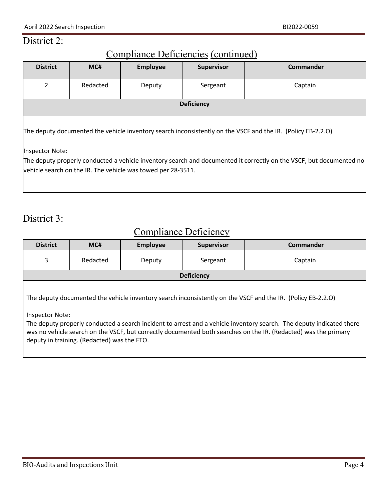#### District 2:

# Compliance Deficiencies (continued)

| <b>District</b>                                                                                                     | MC#      | <b>Employee</b> | <b>Supervisor</b> | <b>Commander</b> |  |
|---------------------------------------------------------------------------------------------------------------------|----------|-----------------|-------------------|------------------|--|
|                                                                                                                     |          |                 |                   |                  |  |
| $\overline{2}$                                                                                                      | Redacted | Deputy          | Sergeant          | Captain          |  |
|                                                                                                                     |          |                 |                   |                  |  |
|                                                                                                                     |          |                 | <b>Deficiency</b> |                  |  |
|                                                                                                                     |          |                 |                   |                  |  |
| The deputy documented the vehicle inventory search inconsistently on the VSCF and the IR. (Policy EB-2.2.O)         |          |                 |                   |                  |  |
| Inspector Note:                                                                                                     |          |                 |                   |                  |  |
| The deputy properly conducted a vehicle inventory search and documented it correctly on the VSCF, but documented no |          |                 |                   |                  |  |
| vehicle search on the IR. The vehicle was towed per 28-3511.                                                        |          |                 |                   |                  |  |
|                                                                                                                     |          |                 |                   |                  |  |

# District 3:

# Compliance Deficiency

| <b>District</b> | MC#                                                                                                                                                                                                                                                                                                                                                                                                                      | <b>Employee</b> | <b>Supervisor</b> | Commander |  |  |
|-----------------|--------------------------------------------------------------------------------------------------------------------------------------------------------------------------------------------------------------------------------------------------------------------------------------------------------------------------------------------------------------------------------------------------------------------------|-----------------|-------------------|-----------|--|--|
| 3               | Redacted                                                                                                                                                                                                                                                                                                                                                                                                                 | Deputy          | Sergeant          | Captain   |  |  |
|                 |                                                                                                                                                                                                                                                                                                                                                                                                                          |                 | <b>Deficiency</b> |           |  |  |
|                 | The deputy documented the vehicle inventory search inconsistently on the VSCF and the IR. (Policy EB-2.2.O)<br>Inspector Note:<br>The deputy properly conducted a search incident to arrest and a vehicle inventory search. The deputy indicated there<br>was no vehicle search on the VSCF, but correctly documented both searches on the IR. (Redacted) was the primary<br>deputy in training. (Redacted) was the FTO. |                 |                   |           |  |  |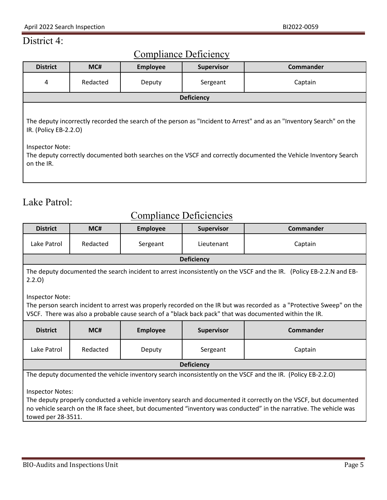# District 4:

# Compliance Deficiency

| <b>District</b>                                                                                                                                                                                                                                                                                          | MC#      | <b>Employee</b> | <b>Supervisor</b> | <b>Commander</b> |  |
|----------------------------------------------------------------------------------------------------------------------------------------------------------------------------------------------------------------------------------------------------------------------------------------------------------|----------|-----------------|-------------------|------------------|--|
| 4                                                                                                                                                                                                                                                                                                        | Redacted | Deputy          | Sergeant          | Captain          |  |
|                                                                                                                                                                                                                                                                                                          |          |                 | <b>Deficiency</b> |                  |  |
| The deputy incorrectly recorded the search of the person as "Incident to Arrest" and as an "Inventory Search" on the<br>IR. (Policy EB-2.2.0)<br><b>Inspector Note:</b><br>The deputy correctly documented both searches on the VSCF and correctly documented the Vehicle Inventory Search<br>on the IR. |          |                 |                   |                  |  |

# Lake Patrol:

# Compliance Deficiencies

| <b>District</b>                                                                                                                                                                                                                                                                                                                                                                                        | MC#                                                                                                                                                                                                                                                      | <b>Employee</b> | <b>Supervisor</b> | Commander |  |  |
|--------------------------------------------------------------------------------------------------------------------------------------------------------------------------------------------------------------------------------------------------------------------------------------------------------------------------------------------------------------------------------------------------------|----------------------------------------------------------------------------------------------------------------------------------------------------------------------------------------------------------------------------------------------------------|-----------------|-------------------|-----------|--|--|
| Lake Patrol                                                                                                                                                                                                                                                                                                                                                                                            | Redacted                                                                                                                                                                                                                                                 | Sergeant        | Lieutenant        | Captain   |  |  |
|                                                                                                                                                                                                                                                                                                                                                                                                        |                                                                                                                                                                                                                                                          |                 | <b>Deficiency</b> |           |  |  |
| 2.2.0                                                                                                                                                                                                                                                                                                                                                                                                  | The deputy documented the search incident to arrest inconsistently on the VSCF and the IR. (Policy EB-2.2.N and EB-                                                                                                                                      |                 |                   |           |  |  |
|                                                                                                                                                                                                                                                                                                                                                                                                        | <b>Inspector Note:</b><br>The person search incident to arrest was properly recorded on the IR but was recorded as a "Protective Sweep" on the<br>VSCF. There was also a probable cause search of a "black back pack" that was documented within the IR. |                 |                   |           |  |  |
| <b>District</b>                                                                                                                                                                                                                                                                                                                                                                                        | MC#                                                                                                                                                                                                                                                      | <b>Employee</b> | <b>Supervisor</b> | Commander |  |  |
| Lake Patrol                                                                                                                                                                                                                                                                                                                                                                                            | Redacted                                                                                                                                                                                                                                                 | Deputy          | Sergeant          | Captain   |  |  |
|                                                                                                                                                                                                                                                                                                                                                                                                        | <b>Deficiency</b>                                                                                                                                                                                                                                        |                 |                   |           |  |  |
| The deputy documented the vehicle inventory search inconsistently on the VSCF and the IR. (Policy EB-2.2.O)<br><b>Inspector Notes:</b><br>The deputy properly conducted a vehicle inventory search and documented it correctly on the VSCF, but documented<br>no vehicle search on the IR face sheet, but documented "inventory was conducted" in the narrative. The vehicle was<br>towed per 28-3511. |                                                                                                                                                                                                                                                          |                 |                   |           |  |  |
|                                                                                                                                                                                                                                                                                                                                                                                                        |                                                                                                                                                                                                                                                          |                 |                   |           |  |  |